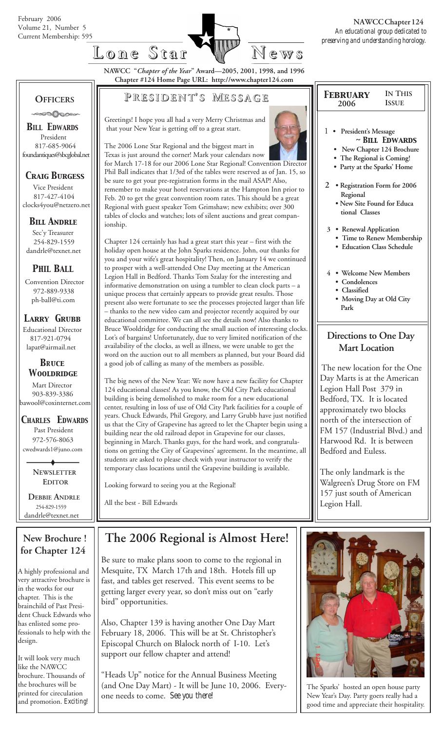

**NAWCC "***Chapter of the Year***" Award—2005, 2001, 1998, and 1996 Chapter #124 Home Page URL: http://www.chapter124.com**

#### **OFFICERS** ಿಂ⊘∧ಿಂ∘

*BILL EDWARDS* President 817-685-9064 foundantiques@sbcglobal.net

## *Craig Burgess*

 Vice President 817-427-4104 clocks4you@netzero.net

## *Bill Andrle*

 Sec'y Treasurer 254-829-1559 dandrle@texnet.net

## *PHIL BALL*

 Convention Director 972-889-9338 ph-ball@ti.com

### *Larry Grubb*

Educational Director 817-921-0794 lapat@airmail.net

#### *BRuce Wooldridge*

 Mart Director 903-839-3386 bawool@coxinternet.com

#### *CHARLES EDWARDS* Past President 972-576-8063 cwedwards1@juno.com

 **NEWSLETTER EDITOR**

 **DEBBIE ANDRLE** 254-829-1559 dandrle@texnet.net

### **New Brochure ! for Chapter 124**

A highly professional and very attractive brochure is in the works for our chapter. This is the brainchild of Past President Chuck Edwards who has enlisted some professionals to help with the design.

It will look very much like the NAWCC brochure. Thousands of the brochures will be printed for cireculation and promotion. *Exciting!*

## **P RESIDENT RESIDENT' S M ESSAGE**

Greetings! I hope you all had a very Merry Christmas and that your New Year is getting off to a great start.

The 2006 Lone Star Regional and the biggest mart in Texas is just around the corner! Mark your calendars now for March 17-18 for our 2006 Lone Star Regional! Convention Director Phil Ball indicates that 1/3rd of the tables were reserved as of Jan. 15, so be sure to get your pre-registration forms in the mail ASAP! Also, remember to make your hotel reservations at the Hampton Inn prior to Feb. 20 to get the great convention room rates. This should be a great Regional with guest speaker Tom Grimshaw; new exhibits; over 300 tables of clocks and watches; lots of silent auctions and great companionship.

Chapter 124 certainly has had a great start this year – first with the holiday open house at the John Sparks residence. John, our thanks for you and your wife's great hospitality! Then, on January 14 we continued to prosper with a well-attended One Day meeting at the American Legion Hall in Bedford. Thanks Tom Szalay for the interesting and informative demonstration on using a tumbler to clean clock parts – a unique process that certainly appears to provide great results. Those present also were fortunate to see the processes projected larger than life – thanks to the new video cam and projector recently acquired by our educational committee. We can all see the details now! Also thanks to Bruce Wooldridge for conducting the small auction of interesting clocks. Lot's of bargains! Unfortunately, due to very limited notification of the availability of the clocks, as well as illness, we were unable to get the word on the auction out to all members as planned, but your Board did a good job of calling as many of the members as possible.

The big news of the New Year: We now have a new facility for Chapter 124 educational classes! As you know, the Old City Park educational building is being demolished to make room for a new educational center, resulting in loss of use of Old City Park facilities for a couple of years. Chuck Edwards, Phil Gregory, and Larry Grubb have just notified us that the City of Grapevine has agreed to let the Chapter begin using a building near the old railroad depot in Grapevine for our classes, beginning in March. Thanks guys, for the hard work, and congratulations on getting the City of Grapevines' agreement. In the meantime, all students are asked to please check with your instructor to verify the temporary class locations until the Grapevine building is available.

Looking forward to seeing you at the Regional!

All the best - Bill Edwards

## **The 2006 Regional is Almost Here!**

Be sure to make plans soon to come to the regional in Mesquite, TX March 17th and 18th. Hotels fill up fast, and tables get reserved. This event seems to be getting larger every year, so don't miss out on "early bird" opportunities.

Also, Chapter 139 is having another One Day Mart February 18, 2006. This will be at St. Christopher's Episcopal Church on Blalock north of I-10. Let's support our fellow chapter and attend!

"Heads Up" notice for the Annual Business Meeting (and One Day Mart) - It will be June 10, 2006. Everyone needs to come. *See you there!*

| <b>FEBRUARY</b><br>2006                                                            | <b>IN THIS</b><br><b>ISSUE</b>                                               |  |  |
|------------------------------------------------------------------------------------|------------------------------------------------------------------------------|--|--|
| 1<br>President's Message<br>• The Regional is Coming!<br>Party at the Sparks' Home | $\sim$ RILL EDWARDS<br>New Chapter 124 Brochure                              |  |  |
| 2<br>Regional                                                                      | • Registration Form for 2006<br>• New Site Found for Educa<br>tional Classes |  |  |
| 3<br>• Renewal Application<br>• Education Class Schedule                           | • Time to Renew Membership                                                   |  |  |

- **4 Welcome New Members**
	- **Condolences • Classified**
	- **Moving Day at Old City Park**

## **Directions to One Day Mart Location**

The new location for the One Day Marts is at the American Legion Hall Post 379 in Bedford, TX. It is located approximately two blocks north of the intersection of FM 157 (Industrial Blvd.) and Harwood Rd. It is between Bedford and Euless.

The only landmark is the Walgreen's Drug Store on FM 157 just south of American Legion Hall.



The Sparks' hosted an open house party New Year's Day. Party goers really had a good time and appreciate their hospitality.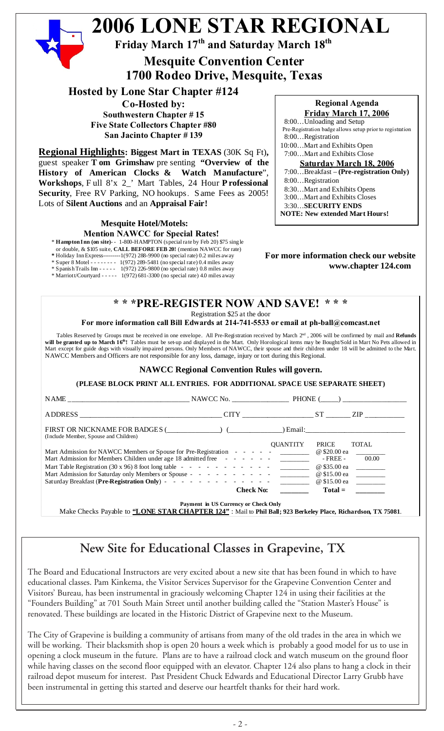

## **New Site for Educational Classes in Grapevine, TX**

The Board and Educational Instructors are very excited about a new site that has been found in which to have educational classes. Pam Kinkema, the Visitor Services Supervisor for the Grapevine Convention Center and Visitors' Bureau, has been instrumental in graciously welcoming Chapter 124 in using their facilities at the "Founders Building" at 701 South Main Street until another building called the "Station Master's House" is renovated. These buildings are located in the Historic District of Grapevine next to the Museum.

The City of Grapevine is building a community of artisans from many of the old trades in the area in which we will be working. Their blacksmith shop is open 20 hours a week which is probably a good model for us to use in opening a clock museum in the future. Plans are to have a railroad clock and watch museum on the ground floor while having classes on the second floor equipped with an elevator. Chapter 124 also plans to hang a clock in their railroad depot museum for interest. Past President Chuck Edwards and Educational Director Larry Grubb have been instrumental in getting this started and deserve our heartfelt thanks for their hard work.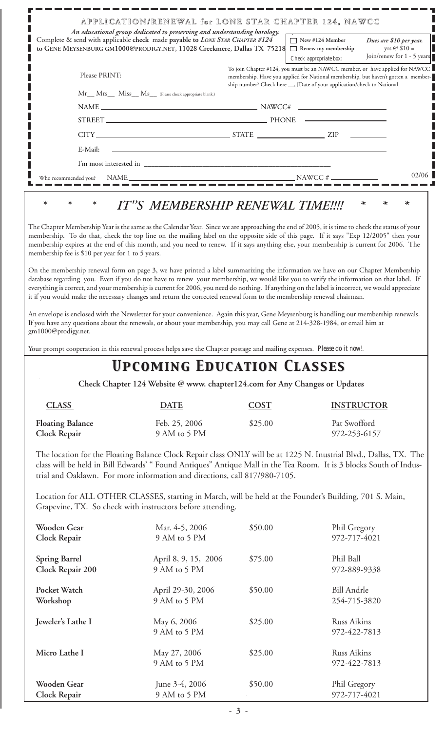|                                                                                 | APPLICATION/RENEWAL for LONE STAR CHAPTER 124, NAWCC                                                                                                                                                                                                                                                                                                                                                                                                                                                                                                                                                                                                                                        |             |                                                                                                                                                                                                                                               |                                           |
|---------------------------------------------------------------------------------|---------------------------------------------------------------------------------------------------------------------------------------------------------------------------------------------------------------------------------------------------------------------------------------------------------------------------------------------------------------------------------------------------------------------------------------------------------------------------------------------------------------------------------------------------------------------------------------------------------------------------------------------------------------------------------------------|-------------|-----------------------------------------------------------------------------------------------------------------------------------------------------------------------------------------------------------------------------------------------|-------------------------------------------|
|                                                                                 | An educational group dedicated to preserving and understanding horology.<br>Complete & send with applicable check made payable to LONE STAR CHAPTER #124<br>to GENE MEYSENBURG GM1000@PRODIGY.NET, 11028 Creekmere, Dallas TX 75218 □ Renew my membership                                                                                                                                                                                                                                                                                                                                                                                                                                   |             | New #124 Member                                                                                                                                                                                                                               | Dues are \$10 per year.<br>yrs $@$ \$10 = |
|                                                                                 |                                                                                                                                                                                                                                                                                                                                                                                                                                                                                                                                                                                                                                                                                             |             | Check appropriate box:                                                                                                                                                                                                                        | Join/renew for 1 - 5 years                |
| Please PRINT:                                                                   |                                                                                                                                                                                                                                                                                                                                                                                                                                                                                                                                                                                                                                                                                             |             | To join Chapter #124, you must be an NAWCC member, or have applied for NAWCC<br>membership. Have you applied for National membership, but haven't gotten a member-<br>ship number? Check here __, [Date of your application/check to National |                                           |
|                                                                                 | Mr__ Mrs__ Miss__ Ms__ (Please check appropriate blank.)                                                                                                                                                                                                                                                                                                                                                                                                                                                                                                                                                                                                                                    |             |                                                                                                                                                                                                                                               |                                           |
|                                                                                 | $\label{eq:NAME} \text{NAME}\xspace = \text{NAME} \xspace$                                                                                                                                                                                                                                                                                                                                                                                                                                                                                                                                                                                                                                  |             |                                                                                                                                                                                                                                               |                                           |
|                                                                                 | STREET PHONE PHONE                                                                                                                                                                                                                                                                                                                                                                                                                                                                                                                                                                                                                                                                          |             |                                                                                                                                                                                                                                               |                                           |
|                                                                                 | $CITY$ $ZIP$ $ZIP$                                                                                                                                                                                                                                                                                                                                                                                                                                                                                                                                                                                                                                                                          |             |                                                                                                                                                                                                                                               |                                           |
| E-Mail:                                                                         |                                                                                                                                                                                                                                                                                                                                                                                                                                                                                                                                                                                                                                                                                             |             |                                                                                                                                                                                                                                               |                                           |
|                                                                                 |                                                                                                                                                                                                                                                                                                                                                                                                                                                                                                                                                                                                                                                                                             |             |                                                                                                                                                                                                                                               |                                           |
| Who recommended you?                                                            |                                                                                                                                                                                                                                                                                                                                                                                                                                                                                                                                                                                                                                                                                             |             |                                                                                                                                                                                                                                               | 02/06                                     |
| $\ast$<br>$\ast$<br>$\ast$<br>membership fee is \$10 per year for 1 to 5 years. | IT"S MEMBERSHIP RENEWAL TIME !!!!<br>The Chapter Membership Year is the same as the Calendar Year. Since we are approaching the end of 2005, it is time to check the status of your<br>membership. To do that, check the top line on the mailing label on the opposite side of this page. If it says "Exp 12/2005" then your<br>membership expires at the end of this month, and you need to renew. If it says anything else, your membership is current for 2006. The                                                                                                                                                                                                                      |             |                                                                                                                                                                                                                                               | $\ast$<br>$\ast$                          |
| gm1000@prodigy.net.                                                             | database regarding you. Even if you do not have to renew your membership, we would like you to verify the information on that label. If<br>everything is correct, and your membership is current for 2006, you need do nothing. If anything on the label is incorrect, we would appreciate<br>it if you would make the necessary changes and return the corrected renewal form to the membership renewal chairman.<br>An envelope is enclosed with the Newsletter for your convenience. Again this year, Gene Meysenburg is handling our membership renewals.<br>If you have any questions about the renewals, or about your membership, you may call Gene at 214-328-1984, or email him at |             |                                                                                                                                                                                                                                               |                                           |
|                                                                                 | Your prompt cooperation in this renewal process helps save the Chapter postage and mailing expenses. Please do it now!.                                                                                                                                                                                                                                                                                                                                                                                                                                                                                                                                                                     |             |                                                                                                                                                                                                                                               |                                           |
|                                                                                 | <b>UPCOMING EDUCATION CLASSES</b>                                                                                                                                                                                                                                                                                                                                                                                                                                                                                                                                                                                                                                                           |             |                                                                                                                                                                                                                                               |                                           |
|                                                                                 | Check Chapter 124 Website @ www. chapter124.com for Any Changes or Updates                                                                                                                                                                                                                                                                                                                                                                                                                                                                                                                                                                                                                  |             |                                                                                                                                                                                                                                               |                                           |
| <b>CLASS</b>                                                                    | <b>DATE</b>                                                                                                                                                                                                                                                                                                                                                                                                                                                                                                                                                                                                                                                                                 | <b>COST</b> | <b>INSTRUCTOR</b>                                                                                                                                                                                                                             |                                           |
| <b>Floating Balance</b><br>Clock Repair                                         | Feb. 25, 2006<br>9 AM to 5 PM                                                                                                                                                                                                                                                                                                                                                                                                                                                                                                                                                                                                                                                               | \$25.00     | Pat Swofford<br>972-253-6157                                                                                                                                                                                                                  |                                           |
|                                                                                 | The location for the Floating Balance Clock Repair class ONLY will be at 1225 N. Inustrial Blvd., Dallas, TX. The<br>class will be held in Bill Edwards' "Found Antiques" Antique Mall in the Tea Room. It is 3 blocks South of Indus-<br>trial and Oaklawn. For more information and directions, call 817/980-7105.                                                                                                                                                                                                                                                                                                                                                                        |             |                                                                                                                                                                                                                                               |                                           |
|                                                                                 | Location for ALL OTHER CLASSES, starting in March, will be held at the Founder's Building, 701 S. Main,<br>Grapevine, TX. So check with instructors before attending.                                                                                                                                                                                                                                                                                                                                                                                                                                                                                                                       |             |                                                                                                                                                                                                                                               |                                           |
| Wooden Gear<br>Clock Repair                                                     | Mar. 4-5, 2006<br>9 AM to 5 PM                                                                                                                                                                                                                                                                                                                                                                                                                                                                                                                                                                                                                                                              | \$50.00     | Phil Gregory<br>972-717-4021                                                                                                                                                                                                                  |                                           |
| <b>Spring Barrel</b><br>Clock Repair 200                                        | April 8, 9, 15, 2006<br>9 AM to 5 PM                                                                                                                                                                                                                                                                                                                                                                                                                                                                                                                                                                                                                                                        | \$75.00     | Phil Ball<br>972-889-9338                                                                                                                                                                                                                     |                                           |
| Pocket Watch<br>Workshop                                                        | April 29-30, 2006<br>9 AM to 5 PM                                                                                                                                                                                                                                                                                                                                                                                                                                                                                                                                                                                                                                                           | \$50.00     | <b>Bill Andrle</b><br>254-715-3820                                                                                                                                                                                                            |                                           |
| Jeweler's Lathe I                                                               | May 6, 2006<br>9 AM to 5 PM                                                                                                                                                                                                                                                                                                                                                                                                                                                                                                                                                                                                                                                                 | \$25.00     | <b>Russ Aikins</b><br>972-422-7813                                                                                                                                                                                                            |                                           |
| Micro Lathe I                                                                   | May 27, 2006<br>9 AM to 5 PM                                                                                                                                                                                                                                                                                                                                                                                                                                                                                                                                                                                                                                                                | \$25.00     | Russ Aikins<br>972-422-7813                                                                                                                                                                                                                   |                                           |

**Wooden Gear** June 3-4, 2006 \$50.00 Phil Gregory **Clock Repair** 9 AM to 5 PM 972-717-4021